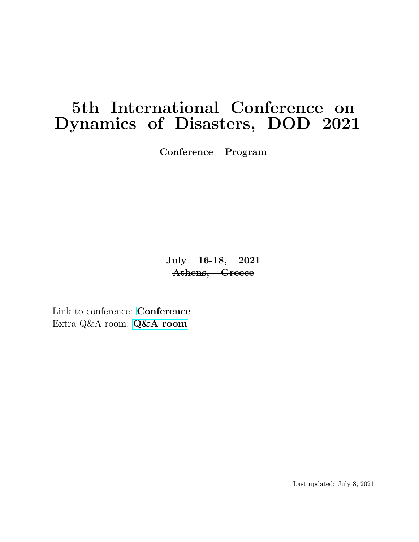# 5th International Conference on Dynamics of Disasters, DOD 2021

Conference Program

July 16-18, 2021 Athens, Greece

Link to conference: [Conference](https://illinois.zoom.us/j/89421214325?pwd=U0s2dUo4WEJWV2Z5d0ZuU3hJMUVMZz09) Extra Q&A room: [Q&A room](https://illinois.zoom.us/j/87136876132?pwd=eHYwUU5qMnhwclVPSEo4YVpiTVJrQT09)

Last updated: July 8, 2021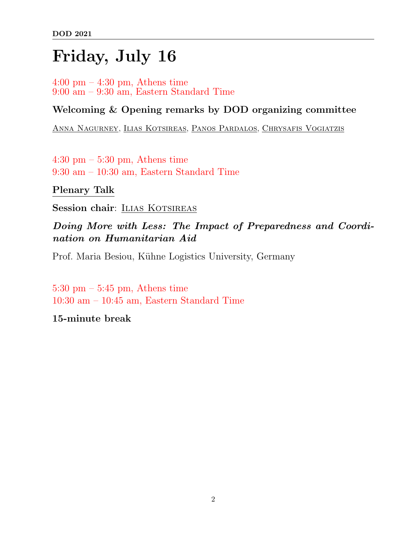# Friday, July 16

 $4:00 \text{ pm} - 4:30 \text{ pm}$ , Athens time 9:00 am – 9:30 am, Eastern Standard Time

### Welcoming & Opening remarks by DOD organizing committee

Anna Nagurney, Ilias Kotsireas, Panos Pardalos, Chrysafis Vogiatzis

4:30 pm – 5:30 pm, Athens time 9:30 am – 10:30 am, Eastern Standard Time

Plenary Talk

Session chair: ILIAS KOTSIREAS

Doing More with Less: The Impact of Preparedness and Coordination on Humanitarian Aid

Prof. Maria Besiou, Kühne Logistics University, Germany

5:30 pm  $-$  5:45 pm, Athens time 10:30 am – 10:45 am, Eastern Standard Time

15-minute break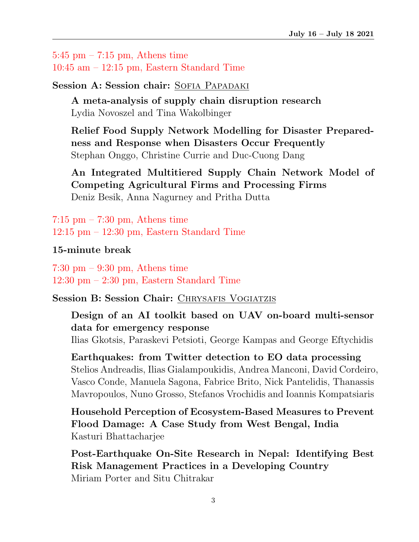$5:45$  pm  $-7:15$  pm, Athens time 10:45 am – 12:15 pm, Eastern Standard Time

Session A: Session chair: SOFIA PAPADAKI

A meta-analysis of supply chain disruption research Lydia Novoszel and Tina Wakolbinger

Relief Food Supply Network Modelling for Disaster Preparedness and Response when Disasters Occur Frequently Stephan Onggo, Christine Currie and Duc-Cuong Dang

An Integrated Multitiered Supply Chain Network Model of Competing Agricultural Firms and Processing Firms Deniz Besik, Anna Nagurney and Pritha Dutta

 $7:15$  pm  $-7:30$  pm, Athens time 12:15 pm – 12:30 pm, Eastern Standard Time

#### 15-minute break

7:30 pm – 9:30 pm, Athens time 12:30 pm – 2:30 pm, Eastern Standard Time

Session B: Session Chair: CHRYSAFIS VOGIATZIS

Design of an AI toolkit based on UAV on-board multi-sensor data for emergency response

Ilias Gkotsis, Paraskevi Petsioti, George Kampas and George Eftychidis

Earthquakes: from Twitter detection to EO data processing Stelios Andreadis, Ilias Gialampoukidis, Andrea Manconi, David Cordeiro, Vasco Conde, Manuela Sagona, Fabrice Brito, Nick Pantelidis, Thanassis Mavropoulos, Nuno Grosso, Stefanos Vrochidis and Ioannis Kompatsiaris

Household Perception of Ecosystem-Based Measures to Prevent Flood Damage: A Case Study from West Bengal, India Kasturi Bhattacharjee

Post-Earthquake On-Site Research in Nepal: Identifying Best Risk Management Practices in a Developing Country Miriam Porter and Situ Chitrakar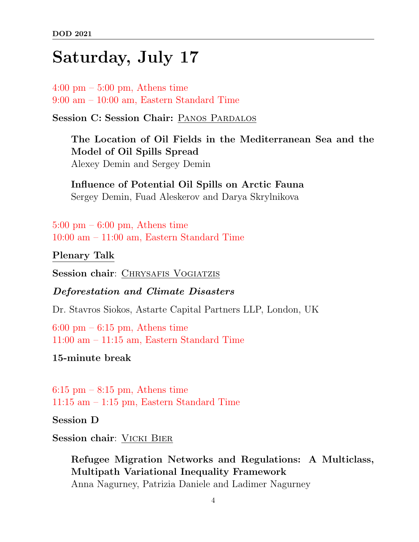# Saturday, July 17

 $4:00 \text{ pm} - 5:00 \text{ pm}$ , Athens time 9:00 am – 10:00 am, Eastern Standard Time

Session C: Session Chair: PANOS PARDALOS

The Location of Oil Fields in the Mediterranean Sea and the Model of Oil Spills Spread Alexey Demin and Sergey Demin

Influence of Potential Oil Spills on Arctic Fauna Sergey Demin, Fuad Aleskerov and Darya Skrylnikova

 $5:00 \text{ pm} - 6:00 \text{ pm}$ , Athens time 10:00 am – 11:00 am, Eastern Standard Time

Plenary Talk

Session chair: CHRYSAFIS VOGIATZIS

Deforestation and Climate Disasters

Dr. Stavros Siokos, Astarte Capital Partners LLP, London, UK

 $6:00 \text{ pm} - 6:15 \text{ pm}$ . Athens time 11:00 am – 11:15 am, Eastern Standard Time

15-minute break

 $6:15$  pm  $-8:15$  pm, Athens time 11:15 am – 1:15 pm, Eastern Standard Time

Session D

Session chair: VICKI BIER

Refugee Migration Networks and Regulations: A Multiclass, Multipath Variational Inequality Framework Anna Nagurney, Patrizia Daniele and Ladimer Nagurney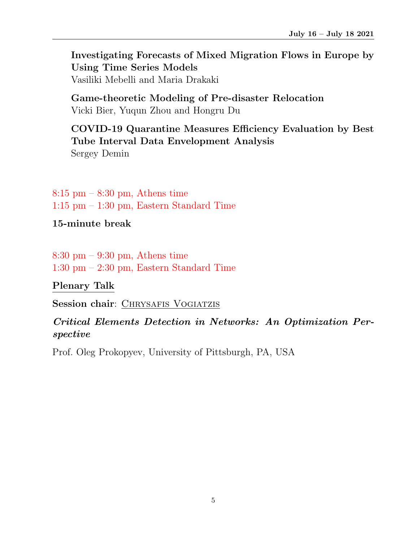Investigating Forecasts of Mixed Migration Flows in Europe by Using Time Series Models Vasiliki Mebelli and Maria Drakaki

Game-theoretic Modeling of Pre-disaster Relocation Vicki Bier, Yuqun Zhou and Hongru Du

## COVID-19 Quarantine Measures Efficiency Evaluation by Best Tube Interval Data Envelopment Analysis

Sergey Demin

 $8:15 \text{ pm} - 8:30 \text{ pm}$ , Athens time 1:15 pm – 1:30 pm, Eastern Standard Time

15-minute break

8:30 pm – 9:30 pm, Athens time 1:30 pm – 2:30 pm, Eastern Standard Time

Plenary Talk

Session chair: CHRYSAFIS VOGIATZIS

### Critical Elements Detection in Networks: An Optimization Perspective

Prof. Oleg Prokopyev, University of Pittsburgh, PA, USA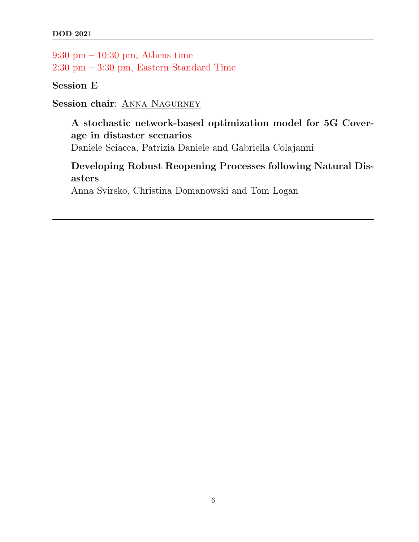9:30 pm – 10:30 pm, Athens time 2:30 pm – 3:30 pm, Eastern Standard Time

Session E

Session chair: ANNA NAGURNEY

## A stochastic network-based optimization model for 5G Coverage in distaster scenarios

Daniele Sciacca, Patrizia Daniele and Gabriella Colajanni

Developing Robust Reopening Processes following Natural Disasters

Anna Svirsko, Christina Domanowski and Tom Logan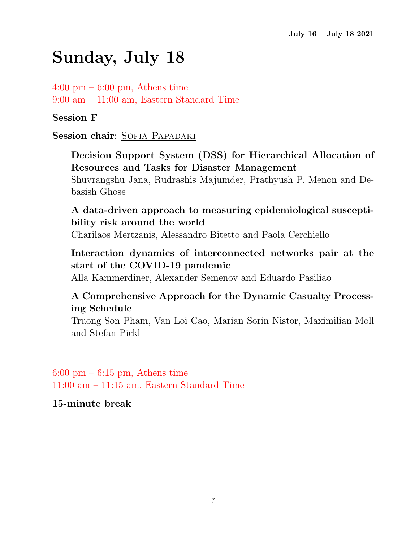# Sunday, July 18

 $4:00 \text{ pm} - 6:00 \text{ pm}$ , Athens time 9:00 am – 11:00 am, Eastern Standard Time

Session F

Session chair: SOFIA PAPADAKI

Decision Support System (DSS) for Hierarchical Allocation of Resources and Tasks for Disaster Management Shuvrangshu Jana, Rudrashis Majumder, Prathyush P. Menon and Debasish Ghose

A data-driven approach to measuring epidemiological susceptibility risk around the world

Charilaos Mertzanis, Alessandro Bitetto and Paola Cerchiello

## Interaction dynamics of interconnected networks pair at the start of the COVID-19 pandemic

Alla Kammerdiner, Alexander Semenov and Eduardo Pasiliao

### A Comprehensive Approach for the Dynamic Casualty Processing Schedule

Truong Son Pham, Van Loi Cao, Marian Sorin Nistor, Maximilian Moll and Stefan Pickl

 $6:00 \text{ pm} - 6:15 \text{ pm}$ , Athens time 11:00 am – 11:15 am, Eastern Standard Time

15-minute break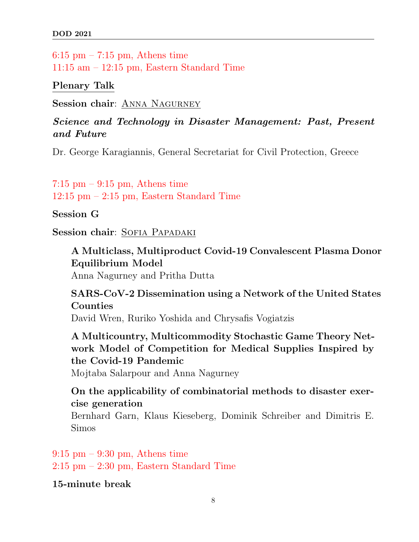$6:15$  pm  $-7:15$  pm, Athens time 11:15 am – 12:15 pm, Eastern Standard Time

Plenary Talk

Session chair: ANNA NAGURNEY

Science and Technology in Disaster Management: Past, Present and Future

Dr. George Karagiannis, General Secretariat for Civil Protection, Greece

 $7:15$  pm  $-9:15$  pm, Athens time 12:15 pm – 2:15 pm, Eastern Standard Time

Session G

Session chair: SOFIA PAPADAKI

A Multiclass, Multiproduct Covid-19 Convalescent Plasma Donor Equilibrium Model Anna Nagurney and Pritha Dutta

SARS-CoV-2 Dissemination using a Network of the United States Counties David Wren, Ruriko Yoshida and Chrysafis Vogiatzis

A Multicountry, Multicommodity Stochastic Game Theory Network Model of Competition for Medical Supplies Inspired by the Covid-19 Pandemic

Mojtaba Salarpour and Anna Nagurney

On the applicability of combinatorial methods to disaster exercise generation

Bernhard Garn, Klaus Kieseberg, Dominik Schreiber and Dimitris E. Simos

 $9:15$  pm  $-9:30$  pm, Athens time 2:15 pm – 2:30 pm, Eastern Standard Time

15-minute break